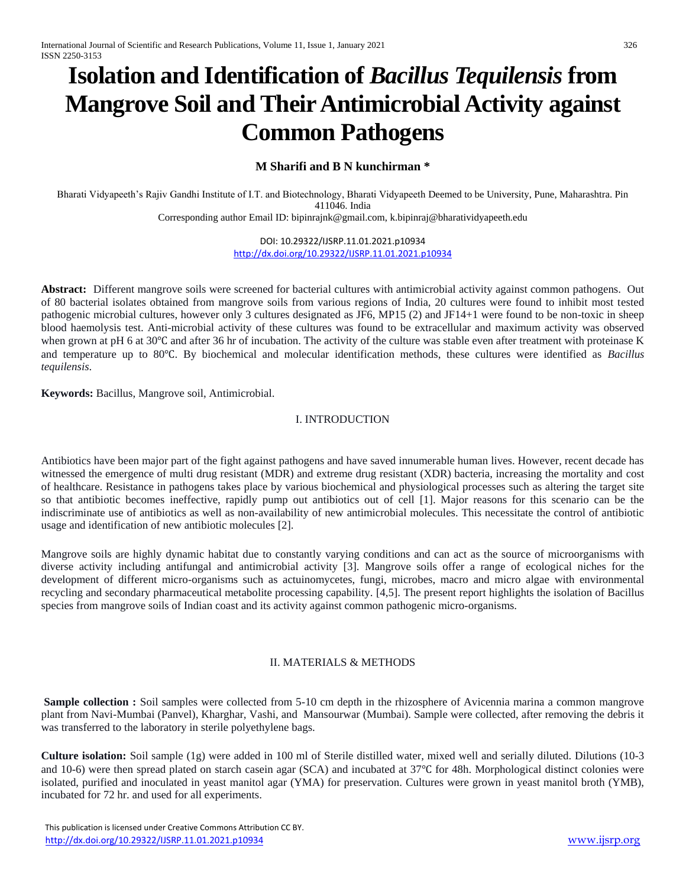# **Isolation and Identification of** *Bacillus Tequilensis* **from Mangrove Soil and Their Antimicrobial Activity against Common Pathogens**

# **M Sharifi and B N kunchirman \***

Bharati Vidyapeeth's Rajiv Gandhi Institute of I.T. and Biotechnology, Bharati Vidyapeeth Deemed to be University, Pune, Maharashtra. Pin 411046. India

Corresponding author Email ID: [bipinrajnk@gmail.com,](mailto:bipinrajnk@gmail.com) [k.bipinraj@bharatividyapeeth.edu](mailto:k.bipinraj@bharatividyapeeth.edu)

DOI: 10.29322/IJSRP.11.01.2021.p10934 <http://dx.doi.org/10.29322/IJSRP.11.01.2021.p10934>

**Abstract:** Different mangrove soils were screened for bacterial cultures with antimicrobial activity against common pathogens. Out of 80 bacterial isolates obtained from mangrove soils from various regions of India, 20 cultures were found to inhibit most tested pathogenic microbial cultures, however only 3 cultures designated as JF6, MP15 (2) and JF14+1 were found to be non-toxic in sheep blood haemolysis test. Anti-microbial activity of these cultures was found to be extracellular and maximum activity was observed when grown at pH 6 at 30℃ and after 36 hr of incubation. The activity of the culture was stable even after treatment with proteinase K and temperature up to 80℃. By biochemical and molecular identification methods, these cultures were identified as *Bacillus tequilensis*.

**Keywords:** Bacillus, Mangrove soil, Antimicrobial.

## I. INTRODUCTION

Antibiotics have been major part of the fight against pathogens and have saved innumerable human lives. However, recent decade has witnessed the emergence of multi drug resistant (MDR) and extreme drug resistant (XDR) bacteria, increasing the mortality and cost of healthcare. Resistance in pathogens takes place by various biochemical and physiological processes such as altering the target site so that antibiotic becomes ineffective, rapidly pump out antibiotics out of cell [1]. Major reasons for this scenario can be the indiscriminate use of antibiotics as well as non-availability of new antimicrobial molecules. This necessitate the control of antibiotic usage and identification of new antibiotic molecules [2].

Mangrove soils are highly dynamic habitat due to constantly varying conditions and can act as the source of microorganisms with diverse activity including antifungal and antimicrobial activity [3]. Mangrove soils offer a range of ecological niches for the development of different micro-organisms such as actuinomycetes, fungi, microbes, macro and micro algae with environmental recycling and secondary pharmaceutical metabolite processing capability. [4,5]. The present report highlights the isolation of Bacillus species from mangrove soils of Indian coast and its activity against common pathogenic micro-organisms.

## II. MATERIALS & METHODS

**Sample collection :** Soil samples were collected from 5-10 cm depth in the rhizosphere of Avicennia marina a common mangrove plant from Navi-Mumbai (Panvel), Kharghar, Vashi, and Mansourwar (Mumbai). Sample were collected, after removing the debris it was transferred to the laboratory in sterile polyethylene bags.

**Culture isolation:** Soil sample (1g) were added in 100 ml of Sterile distilled water, mixed well and serially diluted. Dilutions (10-3 and 10-6) were then spread plated on starch casein agar (SCA) and incubated at 37℃ for 48h. Morphological distinct colonies were isolated, purified and inoculated in yeast manitol agar (YMA) for preservation. Cultures were grown in yeast manitol broth (YMB), incubated for 72 hr. and used for all experiments.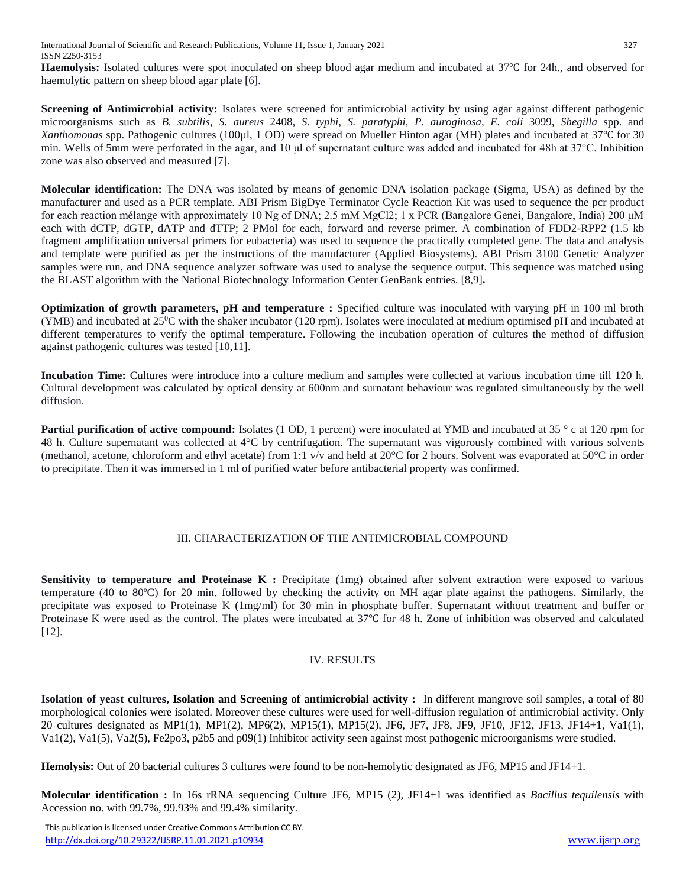**Haemolysis:** Isolated cultures were spot inoculated on sheep blood agar medium and incubated at 37℃ for 24h., and observed for haemolytic pattern on sheep blood agar plate [6].

**Screening of Antimicrobial activity:** Isolates were screened for antimicrobial activity by using agar against different pathogenic microorganisms such as *B. subtilis, S. aureus* 2408, *S. typhi, S. paratyphi, P. auroginosa*, *E. coli* 3099, *Shegilla* spp. and *Xanthomonas* spp. Pathogenic cultures (100µl, 1 OD) were spread on Mueller Hinton agar (MH) plates and incubated at 37℃ for 30 min. Wells of 5mm were perforated in the agar, and 10 μl of supernatant culture was added and incubated for 48h at 37°C. Inhibition zone was also observed and measured [7].

**Molecular identification:** The DNA was isolated by means of genomic DNA isolation package (Sigma, USA) as defined by the manufacturer and used as a PCR template. ABI Prism BigDye Terminator Cycle Reaction Kit was used to sequence the pcr product for each reaction mélange with approximately 10 Ng of DNA; 2.5 mM MgCl2; 1 x PCR (Bangalore Genei, Bangalore, India) 200 μM each with dCTP, dGTP, dATP and dTTP; 2 PMol for each, forward and reverse primer. A combination of FDD2-RPP2 (1.5 kb fragment amplification universal primers for eubacteria) was used to sequence the practically completed gene. The data and analysis and template were purified as per the instructions of the manufacturer (Applied Biosystems). ABI Prism 3100 Genetic Analyzer samples were run, and DNA sequence analyzer software was used to analyse the sequence output. This sequence was matched using the BLAST algorithm with the National Biotechnology Information Center GenBank entries. [8,9]**.**

**Optimization of growth parameters, pH and temperature :** Specified culture was inoculated with varying pH in 100 ml broth (YMB) and incubated at  $25^{\circ}$ C with the shaker incubator (120 rpm). Isolates were inoculated at medium optimised pH and incubated at different temperatures to verify the optimal temperature. Following the incubation operation of cultures the method of diffusion against pathogenic cultures was tested [10,11].

**Incubation Time:** Cultures were introduce into a culture medium and samples were collected at various incubation time till 120 h. Cultural development was calculated by optical density at 600nm and surnatant behaviour was regulated simultaneously by the well diffusion.

**Partial purification of active compound:** Isolates (1 OD, 1 percent) were inoculated at YMB and incubated at 35 ° c at 120 rpm for 48 h. Culture supernatant was collected at 4°C by centrifugation. The supernatant was vigorously combined with various solvents (methanol, acetone, chloroform and ethyl acetate) from 1:1 v/v and held at 20°C for 2 hours. Solvent was evaporated at 50°C in order to precipitate. Then it was immersed in 1 ml of purified water before antibacterial property was confirmed.

## III. CHARACTERIZATION OF THE ANTIMICROBIAL COMPOUND

**Sensitivity to temperature and Proteinase K :** Precipitate (1mg) obtained after solvent extraction were exposed to various temperature (40 to 80ºC) for 20 min. followed by checking the activity on MH agar plate against the pathogens. Similarly, the precipitate was exposed to Proteinase K (1mg/ml) for 30 min in phosphate buffer. Supernatant without treatment and buffer or Proteinase K were used as the control. The plates were incubated at 37℃ for 48 h. Zone of inhibition was observed and calculated [12].

## IV. RESULTS

**Isolation of yeast cultures, Isolation and Screening of antimicrobial activity :** In different mangrove soil samples, a total of 80 morphological colonies were isolated. Moreover these cultures were used for well-diffusion regulation of antimicrobial activity. Only 20 cultures designated as MP1(1), MP1(2), MP6(2), MP15(1), MP15(2), JF6, JF7, JF8, JF9, JF10, JF12, JF13, JF14+1, Va1(1), Va1(2), Va1(5), Va2(5), Fe2po3, p2b5 and p09(1) Inhibitor activity seen against most pathogenic microorganisms were studied.

**Hemolysis:** Out of 20 bacterial cultures 3 cultures were found to be non-hemolytic designated as JF6, MP15 and JF14+1.

**Molecular identification :** In 16s rRNA sequencing Culture JF6, MP15 (2), JF14+1 was identified as *Bacillus tequilensis* with Accession no. with 99.7%, 99.93% and 99.4% similarity.

 This publication is licensed under Creative Commons Attribution CC BY. <http://dx.doi.org/10.29322/IJSRP.11.01.2021.p10934> [www.ijsrp.org](http://ijsrp.org/)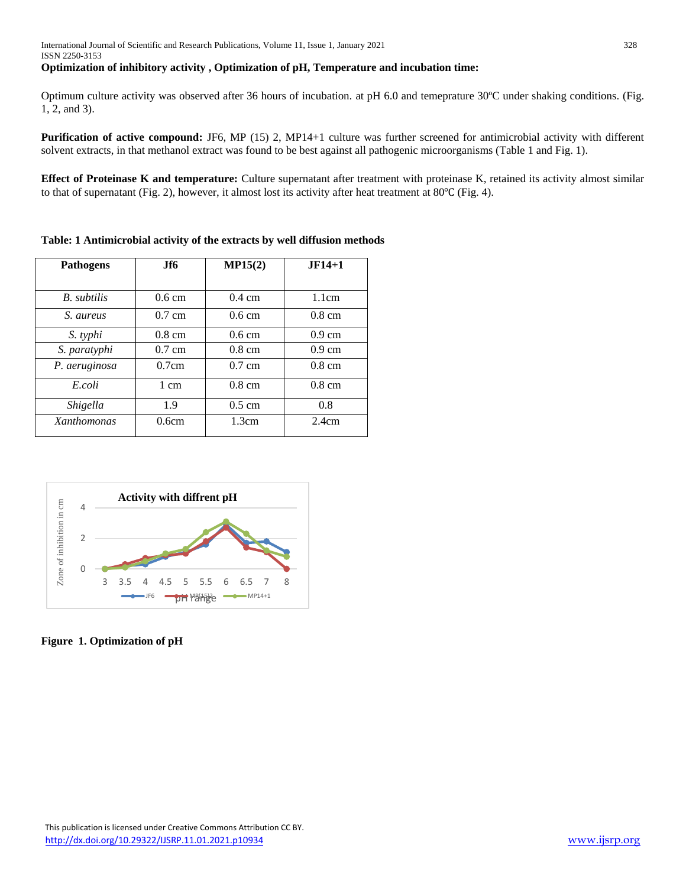#### **Optimization of inhibitory activity , Optimization of pH, Temperature and incubation time:**

Optimum culture activity was observed after 36 hours of incubation. at pH 6.0 and temeprature 30ºC under shaking conditions. (Fig. 1, 2, and 3).

**Purification of active compound:** JF6, MP (15) 2, MP14+1 culture was further screened for antimicrobial activity with different solvent extracts, in that methanol extract was found to be best against all pathogenic microorganisms (Table 1 and Fig. 1).

**Effect of Proteinase K and temperature:** Culture supernatant after treatment with proteinase K, retained its activity almost similar to that of supernatant (Fig. 2), however, it almost lost its activity after heat treatment at 80℃ (Fig. 4).

| <b>Pathogens</b>   | .If6             | MP15(2)          | $JF14+1$         |
|--------------------|------------------|------------------|------------------|
|                    |                  |                  |                  |
| B. subtilis        | $0.6 \text{ cm}$ | $0.4 \text{ cm}$ | 1.1cm            |
| S. aureus          | $0.7 \text{ cm}$ | $0.6 \text{ cm}$ | $0.8 \text{ cm}$ |
| S. typhi           | $0.8 \text{ cm}$ | $0.6 \text{ cm}$ | $0.9 \text{ cm}$ |
| S. paratyphi       | $0.7 \text{ cm}$ | $0.8 \text{ cm}$ | $0.9 \text{ cm}$ |
| P. aeruginosa      | 0.7cm            | $0.7 \text{ cm}$ | $0.8 \text{ cm}$ |
| E.coli             | 1 cm             | $0.8 \text{ cm}$ | $0.8 \text{ cm}$ |
| Shigella           | 1.9              | $0.5 \text{ cm}$ | 0.8              |
| <b>Xanthomonas</b> | 0.6cm            | 1.3cm            | 2.4cm            |

**Table: 1 Antimicrobial activity of the extracts by well diffusion methods**



**Figure 1. Optimization of pH**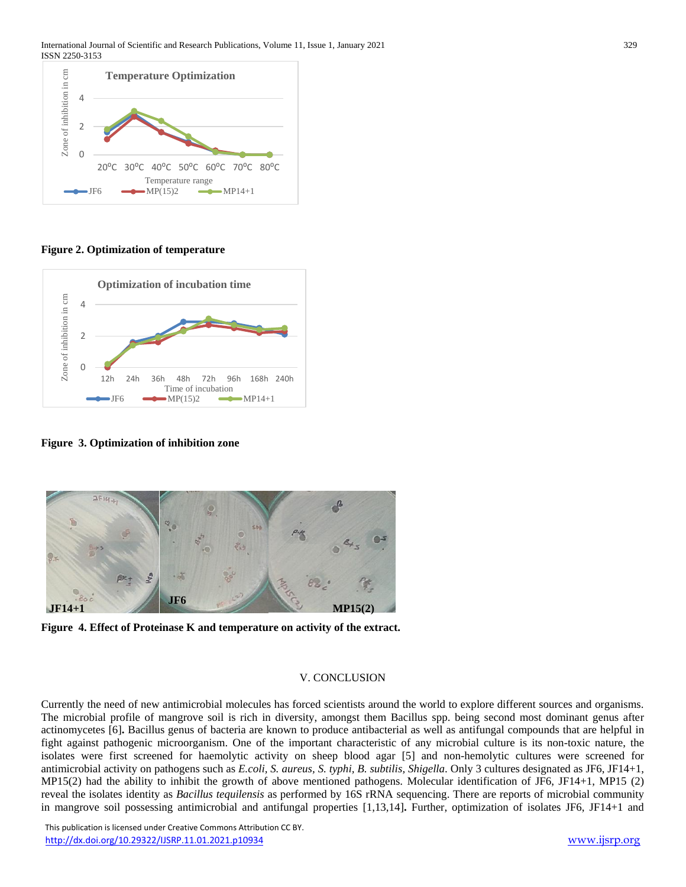

**Figure 2. Optimization of temperature** 



**Figure 3. Optimization of inhibition zone**



**Figure 4. Effect of Proteinase K and temperature on activity of the extract.** 

#### V. CONCLUSION

Currently the need of new antimicrobial molecules has forced scientists around the world to explore different sources and organisms. The microbial profile of mangrove soil is rich in diversity, amongst them Bacillus spp. being second most dominant genus after actinomycetes [6]**.** Bacillus genus of bacteria are known to produce antibacterial as well as antifungal compounds that are helpful in fight against pathogenic microorganism. One of the important characteristic of any microbial culture is its non-toxic nature, the isolates were first screened for haemolytic activity on sheep blood agar [5] and non-hemolytic cultures were screened for antimicrobial activity on pathogens such as *E.coli, S. aureus, S. typhi, B. subtilis, Shigella*. Only 3 cultures designated as JF6, JF14+1, MP15(2) had the ability to inhibit the growth of above mentioned pathogens. Molecular identification of JF6, JF14+1, MP15 (2) reveal the isolates identity as *Bacillus tequilensis* as performed by 16S rRNA sequencing. There are reports of microbial community in mangrove soil possessing antimicrobial and antifungal properties [1,13,14]**.** Further, optimization of isolates JF6, JF14+1 and

 This publication is licensed under Creative Commons Attribution CC BY. <http://dx.doi.org/10.29322/IJSRP.11.01.2021.p10934> [www.ijsrp.org](http://ijsrp.org/)